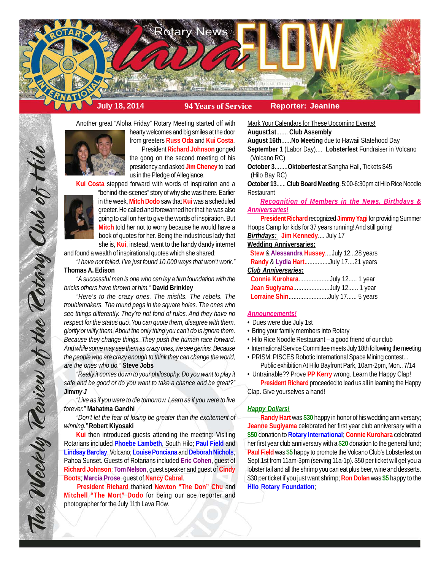

Another great "Aloha Friday" Rotary Meeting started off with



hearty welcomes and big smiles at the door from greeters **Russ Oda** and **Kui Costa**. President **Richard Johnson** gonged

the gong on the second meeting of his presidency and asked **Jim Cheney** to lead us in the Pledge of Allegiance.

**Kui Costa** stepped forward with words of inspiration and a



The Weekly Review of the Tetary Club of Hill

"behind-the-scenes" story of why she was there. Earlier in the week, **Mitch Dodo** saw that **Kui** was a scheduled greeter. He called and forewarned her that he was also going to call on her to give the words of inspiration. But **Mitch** told her not to worry because he would have a book of quotes for her. Being the industrious lady that she is, **Kui**, instead, went to the handy dandy internet

and found a wealth of inspirational quotes which she shared:

*"I have not failed. I've just found 10,000 ways that won't work."* **Thomas A. Edison**

*"A successful man is one who can lay a firm foundation with the bricks others have thrown at him."* **David Brinkley**

*"Here's to the crazy ones. The misfits. The rebels. The troublemakers. The round pegs in the square holes. The ones who see things differently. They're not fond of rules. And they have no respect for the status quo. You can quote them, disagree with them, glorify or vilify them. About the only thing you can't do is ignore them. Because they change things. They push the human race forward. And while some may see them as crazy ones, we see genius. Because the people who are crazy enough to think they can change the world, are the ones who do."* **Steve Jobs**

*"Really it comes down to your philosophy. Do you want to play it safe and be good or do you want to take a chance and be great?"* **Jim***my J*

*"Live as if you were to die tomorrow. Learn as if you were to live forever."* **Mahatma Gandhi**

*"Don't let the fear of losing be greater than the excitement of winning."* **Robert Kiyosaki**

**Kui** then introduced guests attending the meeting: Visiting Rotarians included **Phoebe Lambeth**, South Hilo; **Paul Field** and **Lindsay Barclay**, Volcano; **Louise Ponciana** and **Deborah Nichols**, Pahoa Sunset. Guests of Rotarians included **Eric Cohen**, guest of **Richard Johnson**; **Tom Nelson**, guest speaker and guest of **Cindy Boots**; **Marcia Prose**, guest of **Nancy Cabral**.

**President Richard** thanked **Newton "The Don" Chu** and **Mitchell "The Mort" Dodo** for being our ace reporter and photographer for the July 11th Lava Flow.

Mark Your Calendars for These Upcoming Events!

**August1st**....... **Club Assembly**

**August 16th**......**No Meeting** due to Hawaii Statehood Day

**September 1** (Labor Day).... **Lobsterfest** Fundraiser in Volcano (Volcano RC)

**October 3**........**Oktoberfest** at Sangha Hall, Tickets \$45 (Hilo Bay RC)

**October 13**...... **Club Board Meeting**, 5:00-6:30pm at Hilo Rice Noodle Restaurant

*Recognition of Members in the News, Birthdays & Anniversaries!*

**President Richard** recognized **Jimmy Yagi** for providing Summer Hoops Camp for kids for 37 years running! And still going!

*Birthdays:* **Jim Kennedy**.... July 17

## **Wedding Anniversaries:**

|                               | Stew & Alessandra HusseyJuly 1228 years |
|-------------------------------|-----------------------------------------|
|                               | Randy & Lydia HartJuly 1721 years       |
| Club Anniversaries:           |                                         |
| Connie KuroharaJuly 12 1 year |                                         |
|                               | Jean SugiyamaJuly 12 1 year             |
|                               | Lorraine ShinJuly 17 5 years            |

### *Announcements!*

- Dues were due July 1st
- Bring your family members into Rotary
- Hilo Rice Noodle Restaurant a good friend of our club
- International Service Committee meets July 18th following the meeting
- PRISM: PISCES Robotic International Space Mining contest... Public exhibition At Hilo Bayfront Park, 10am-2pm, Mon., 7/14
- Untrainable?? Prove **PP Kerry** wrong. Learn the Happy Clap!

**President Richard** proceeded to lead us all in learning the Happy Clap. Give yourselves a hand!

# *Happy Dollars!*

**Randy Hart** was **\$30** happy in honor of his wedding anniversary; **Jeanne Sugiyama** celebrated her first year club anniversary with a **\$50** donation to **Rotary International**; **Connie Kurohara** celebrated her first year club anniversary with a **\$20** donation to the general fund; **Paul Field** was **\$5** happy to promote the Volcano Club's Lobsterfest on Sept.1st from 11am-3pm (serving 11a-1p). \$50 per ticket will get you a lobster tail and all the shrimp you can eat plus beer, wine and desserts. \$30 per ticket if you just want shrimp; **Ron Dolan** was **\$5** happy to the **Hilo Rotary Foundation**;